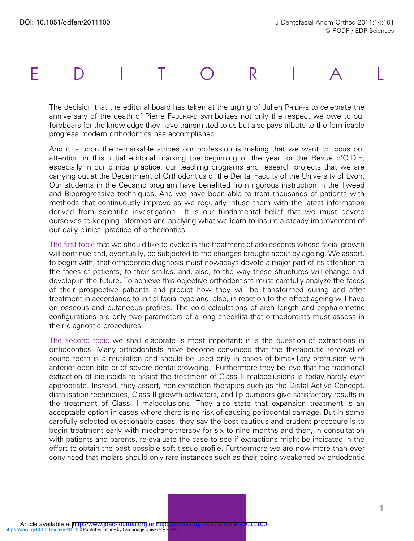## EDITORIAL

The decision that the editorial board has taken at the urging of Julien PHILIPPE to celebrate the anniversary of the death of Pierre FAUCHARD symbolizes not only the respect we owe to our forebears for the knowledge they have transmitted to us but also pays tribute to the formidable progress modern orthodontics has accomplished.

And it is upon the remarkable strides our profession is making that we want to focus our attention in this initial editorial marking the beginning of the year for the Revue d'O.D.F, especially in our clinical practice, our teaching programs and research projects that we are carrying out at the Department of Orthodontics of the Dental Faculty of the University of Lyon. Our students in the Cecsmo program have benefited from rigorous instruction in the Tweed and Bioprogressive techniques. And we have been able to treat thousands of patients with methods that continuously improve as we regularly infuse them with the latest information derived from scientific investigation. It is our fundamental belief that we must devote ourselves to keeping informed and applying what we learn to insure a steady improvement of our daily clinical practice of orthodontics.

The first topic that we should like to evoke is the treatment of adolescents whose facial growth will continue and, eventually, be subjected to the changes brought about by ageing. We assert, to begin with, that orthodontic diagnosis must nowadays devote a major part of its attention to the faces of patients, to their smiles, and, also, to the way these structures will change and develop in the future. To achieve this objective orthodontists must carefully analyze the faces of their prospective patients and predict how they will be transformed during and after treatment in accordance to initial facial type and, also, in reaction to the effect ageing will have on osseous and cutaneous profiles. The cold calculations of arch length and cephalometric configurations are only two parameters of a long checklist that orthodontists must assess in their diagnostic procedures.

The second topic we shall elaborate is most important: it is the question of extractions in orthodontics. Many orthodontists have become convinced that the therapeutic removal of sound teeth is a mutilation and should be used only in cases of bimaxillary protrusion with anterior open bite or of severe dental crowding. Furthermore they believe that the traditional extraction of bicuspids to assist the treatment of Class II malocclusions is today hardly ever appropriate. Instead, they assert, non-extraction therapies such as the Distal Active Concept, distalisation techniques, Class II growth activators, and lip bumpers give satisfactory results in the treatment of Class II malocclusions. They also state that expansion treatment is an acceptable option in cases where there is no risk of causing periodontal damage. But in some carefully selected questionable cases, they say the best cautious and prudent procedure is to begin treatment early with mechano-therapy for six to nine months and then, in consultation with patients and parents, re-evaluate the case to see if extractions might be indicated in the effort to obtain the best possible soft tissue profile. Furthermore we are now more than ever convinced that molars should only rare instances such as their being weakened by endodontic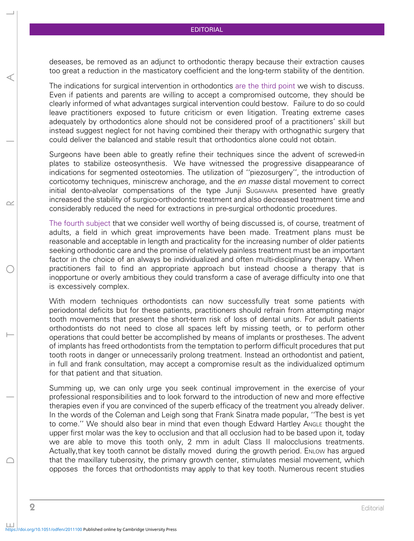deseases, be removed as an adjunct to orthodontic therapy because their extraction causes too great a reduction in the masticatory coefficient and the long-term stability of the dentition.

The indications for surgical intervention in orthodontics are the third point we wish to discuss. Even if patients and parents are willing to accept a compromised outcome, they should be clearly informed of what advantages surgical intervention could bestow. Failure to do so could leave practitioners exposed to future criticism or even litigation. Treating extreme cases adequately by orthodontics alone should not be considered proof of a practitioners' skill but instead suggest neglect for not having combined their therapy with orthognathic surgery that could deliver the balanced and stable result that orthodontics alone could not obtain.

Surgeons have been able to greatly refine their techniques since the advent of screwed-in plates to stabilize osteosynthesis. We have witnessed the progressive disappearance of indications for segmented osteotomies. The utilization of ''piezosurgery'', the introduction of corticotomy techniques, miniscrew anchorage, and the en masse distal movement to correct initial dento-alveolar compensations of the type Junji SUGAWARA presented have greatly increased the stability of surgico-orthodontic treatment and also decreased treatment time and considerably reduced the need for extractions in pre-surgical orthodontic procedures.

The fourth subject that we consider well worthy of being discussed is, of course, treatment of adults, a field in which great improvements have been made. Treatment plans must be reasonable and acceptable in length and practicality for the increasing number of older patients seeking orthodontic care and the promise of relatively painless treatment must be an important factor in the choice of an always be individualized and often multi-disciplinary therapy. When practitioners fail to find an appropriate approach but instead choose a therapy that is inopportune or overly ambitious they could transform a case of average difficulty into one that is excessively complex.

With modern techniques orthodontists can now successfully treat some patients with periodontal deficits but for these patients, practitioners should refrain from attempting major tooth movements that present the short-term risk of loss of dental units. For adult patients orthodontists do not need to close all spaces left by missing teeth, or to perform other operations that could better be accomplished by means of implants or prostheses. The advent of implants has freed orthodontists from the temptation to perform difficult procedures that put tooth roots in danger or unnecessarily prolong treatment. Instead an orthodontist and patient, in full and frank consultation, may accept a compromise result as the individualized optimum for that patient and that situation.

Summing up, we can only urge you seek continual improvement in the exercise of your professional responsibilities and to look forward to the introduction of new and more effective therapies even if you are convinced of the superb efficacy of the treatment you already deliver. In the words of the Coleman and Leigh song that Frank Sinatra made popular, ''The best is yet to come.'' We should also bear in mind that even though Edward Hartley ANGLE thought the upper first molar was the key to occlusion and that all occlusion had to be based upon it, today we are able to move this tooth only, 2 mm in adult Class II malocclusions treatments. Actually, that key tooth cannot be distally moved during the growth period. ENLOW has argued that the maxillary tuberosity, the primary growth center, stimulates mesial movement, which opposes the forces that orthodontists may apply to that key tooth. Numerous recent studies

△

 $\sim$